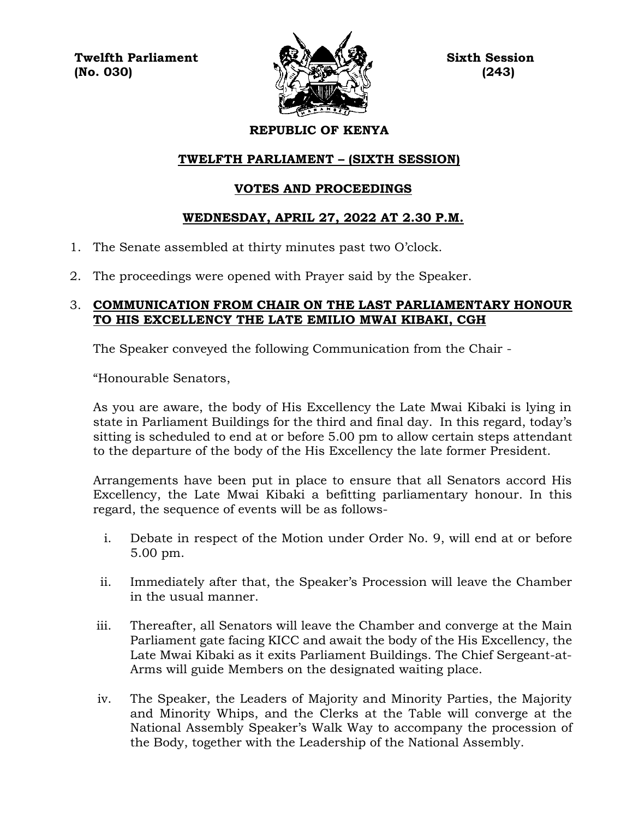**Twelfth Parliament Sixth Session**  $(No. 030)$  (243)



# **REPUBLIC OF KENYA**

# **TWELFTH PARLIAMENT – (SIXTH SESSION)**

# **VOTES AND PROCEEDINGS**

# **WEDNESDAY, APRIL 27, 2022 AT 2.30 P.M.**

- 1. The Senate assembled at thirty minutes past two O'clock.
- 2. The proceedings were opened with Prayer said by the Speaker.

## 3. **COMMUNICATION FROM CHAIR ON THE LAST PARLIAMENTARY HONOUR TO HIS EXCELLENCY THE LATE EMILIO MWAI KIBAKI, CGH**

The Speaker conveyed the following Communication from the Chair -

"Honourable Senators,

As you are aware, the body of His Excellency the Late Mwai Kibaki is lying in state in Parliament Buildings for the third and final day. In this regard, today's sitting is scheduled to end at or before 5.00 pm to allow certain steps attendant to the departure of the body of the His Excellency the late former President.

Arrangements have been put in place to ensure that all Senators accord His Excellency, the Late Mwai Kibaki a befitting parliamentary honour. In this regard, the sequence of events will be as follows-

- i. Debate in respect of the Motion under Order No. 9, will end at or before 5.00 pm.
- ii. Immediately after that, the Speaker's Procession will leave the Chamber in the usual manner.
- iii. Thereafter, all Senators will leave the Chamber and converge at the Main Parliament gate facing KICC and await the body of the His Excellency, the Late Mwai Kibaki as it exits Parliament Buildings. The Chief Sergeant-at-Arms will guide Members on the designated waiting place.
- iv. The Speaker, the Leaders of Majority and Minority Parties, the Majority and Minority Whips, and the Clerks at the Table will converge at the National Assembly Speaker's Walk Way to accompany the procession of the Body, together with the Leadership of the National Assembly.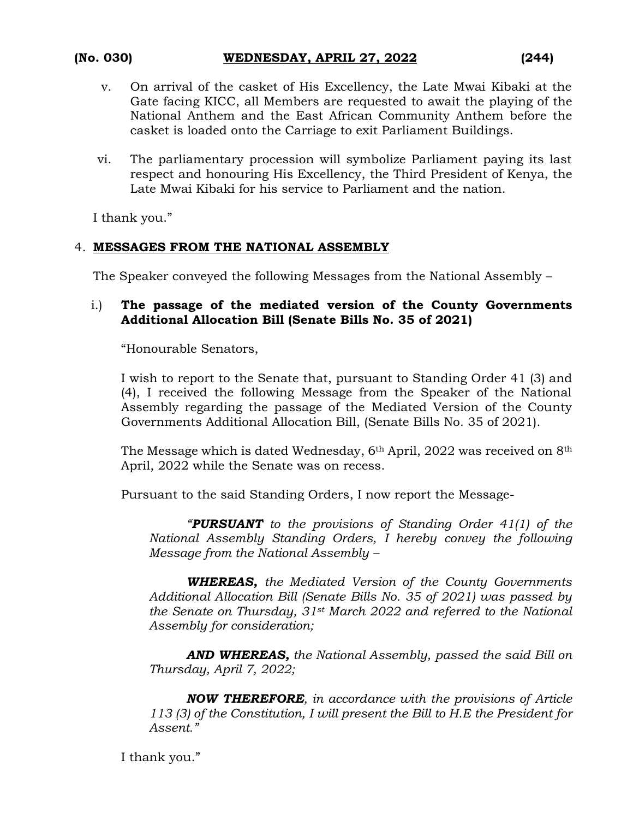- v. On arrival of the casket of His Excellency, the Late Mwai Kibaki at the Gate facing KICC, all Members are requested to await the playing of the National Anthem and the East African Community Anthem before the casket is loaded onto the Carriage to exit Parliament Buildings.
- vi. The parliamentary procession will symbolize Parliament paying its last respect and honouring His Excellency, the Third President of Kenya, the Late Mwai Kibaki for his service to Parliament and the nation.

I thank you."

# 4. **MESSAGES FROM THE NATIONAL ASSEMBLY**

The Speaker conveyed the following Messages from the National Assembly –

## i.) **The passage of the mediated version of the County Governments Additional Allocation Bill (Senate Bills No. 35 of 2021)**

"Honourable Senators,

I wish to report to the Senate that, pursuant to Standing Order 41 (3) and (4), I received the following Message from the Speaker of the National Assembly regarding the passage of the Mediated Version of the County Governments Additional Allocation Bill, (Senate Bills No. 35 of 2021).

The Message which is dated Wednesday,  $6<sup>th</sup>$  April, 2022 was received on  $8<sup>th</sup>$ April, 2022 while the Senate was on recess.

Pursuant to the said Standing Orders, I now report the Message-

*"PURSUANT to the provisions of Standing Order 41(1) of the National Assembly Standing Orders, I hereby convey the following Message from the National Assembly –*

*WHEREAS, the Mediated Version of the County Governments Additional Allocation Bill (Senate Bills No. 35 of 2021) was passed by the Senate on Thursday, 31st March 2022 and referred to the National Assembly for consideration;*

*AND WHEREAS, the National Assembly, passed the said Bill on Thursday, April 7, 2022;*

*NOW THEREFORE, in accordance with the provisions of Article 113 (3) of the Constitution, I will present the Bill to H.E the President for Assent."*

I thank you."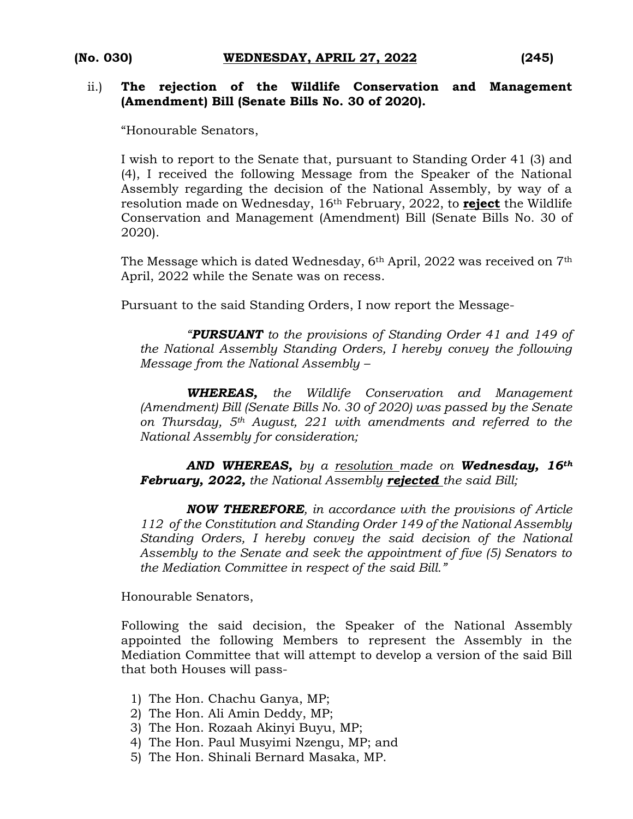### ii.) **The rejection of the Wildlife Conservation and Management (Amendment) Bill (Senate Bills No. 30 of 2020).**

"Honourable Senators,

I wish to report to the Senate that, pursuant to Standing Order 41 (3) and (4), I received the following Message from the Speaker of the National Assembly regarding the decision of the National Assembly, by way of a resolution made on Wednesday, 16th February, 2022, to **reject** the Wildlife Conservation and Management (Amendment) Bill (Senate Bills No. 30 of 2020).

The Message which is dated Wednesday, 6th April, 2022 was received on 7th April, 2022 while the Senate was on recess.

Pursuant to the said Standing Orders, I now report the Message-

*"PURSUANT to the provisions of Standing Order 41 and 149 of the National Assembly Standing Orders, I hereby convey the following Message from the National Assembly –*

*WHEREAS, the Wildlife Conservation and Management (Amendment) Bill (Senate Bills No. 30 of 2020) was passed by the Senate on Thursday, 5th August, 221 with amendments and referred to the National Assembly for consideration;*

*AND WHEREAS, by a resolution made on Wednesday, 16th February, 2022, the National Assembly rejected the said Bill;*

*NOW THEREFORE, in accordance with the provisions of Article 112 of the Constitution and Standing Order 149 of the National Assembly Standing Orders, I hereby convey the said decision of the National Assembly to the Senate and seek the appointment of five (5) Senators to the Mediation Committee in respect of the said Bill."*

Honourable Senators,

Following the said decision, the Speaker of the National Assembly appointed the following Members to represent the Assembly in the Mediation Committee that will attempt to develop a version of the said Bill that both Houses will pass-

- 1) The Hon. Chachu Ganya, MP;
- 2) The Hon. Ali Amin Deddy, MP;
- 3) The Hon. Rozaah Akinyi Buyu, MP;
- 4) The Hon. Paul Musyimi Nzengu, MP; and
- 5) The Hon. Shinali Bernard Masaka, MP.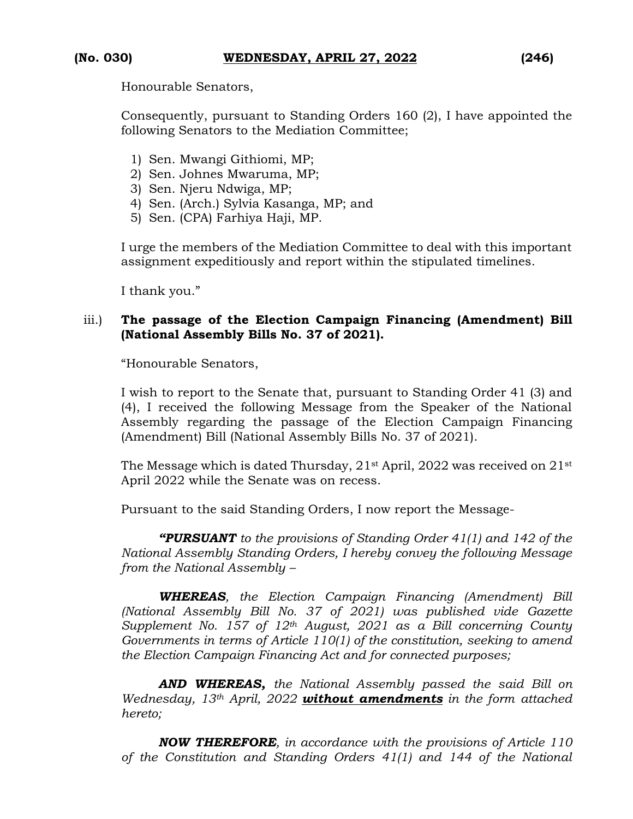Honourable Senators,

Consequently, pursuant to Standing Orders 160 (2), I have appointed the following Senators to the Mediation Committee;

- 1) Sen. Mwangi Githiomi, MP;
- 2) Sen. Johnes Mwaruma, MP;
- 3) Sen. Njeru Ndwiga, MP;
- 4) Sen. (Arch.) Sylvia Kasanga, MP; and
- 5) Sen. (CPA) Farhiya Haji, MP.

I urge the members of the Mediation Committee to deal with this important assignment expeditiously and report within the stipulated timelines.

I thank you."

# iii.) **The passage of the Election Campaign Financing (Amendment) Bill (National Assembly Bills No. 37 of 2021).**

"Honourable Senators,

I wish to report to the Senate that, pursuant to Standing Order 41 (3) and (4), I received the following Message from the Speaker of the National Assembly regarding the passage of the Election Campaign Financing (Amendment) Bill (National Assembly Bills No. 37 of 2021).

The Message which is dated Thursday,  $21<sup>st</sup>$  April,  $2022$  was received on  $21<sup>st</sup>$ April 2022 while the Senate was on recess.

Pursuant to the said Standing Orders, I now report the Message-

*"PURSUANT to the provisions of Standing Order 41(1) and 142 of the National Assembly Standing Orders, I hereby convey the following Message from the National Assembly –*

*WHEREAS, the Election Campaign Financing (Amendment) Bill (National Assembly Bill No. 37 of 2021) was published vide Gazette Supplement No. 157 of 12th August, 2021 as a Bill concerning County Governments in terms of Article 110(1) of the constitution, seeking to amend the Election Campaign Financing Act and for connected purposes;*

*AND WHEREAS, the National Assembly passed the said Bill on Wednesday, 13th April, 2022 without amendments in the form attached hereto;*

*NOW THEREFORE, in accordance with the provisions of Article 110 of the Constitution and Standing Orders 41(1) and 144 of the National*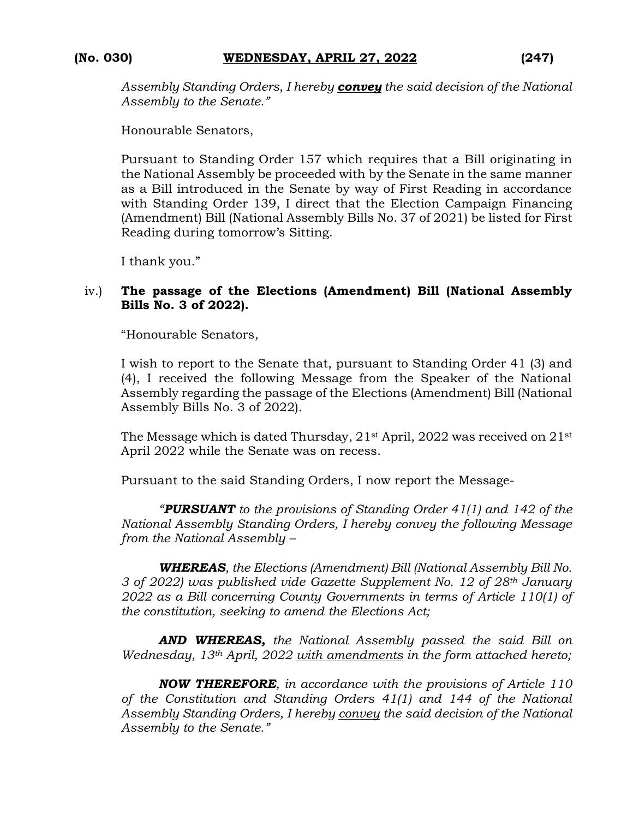*Assembly Standing Orders, I hereby convey the said decision of the National Assembly to the Senate."*

Honourable Senators,

Pursuant to Standing Order 157 which requires that a Bill originating in the National Assembly be proceeded with by the Senate in the same manner as a Bill introduced in the Senate by way of First Reading in accordance with Standing Order 139, I direct that the Election Campaign Financing (Amendment) Bill (National Assembly Bills No. 37 of 2021) be listed for First Reading during tomorrow's Sitting.

I thank you."

### iv.) **The passage of the Elections (Amendment) Bill (National Assembly Bills No. 3 of 2022).**

"Honourable Senators,

I wish to report to the Senate that, pursuant to Standing Order 41 (3) and (4), I received the following Message from the Speaker of the National Assembly regarding the passage of the Elections (Amendment) Bill (National Assembly Bills No. 3 of 2022).

The Message which is dated Thursday, 21<sup>st</sup> April, 2022 was received on 21<sup>st</sup> April 2022 while the Senate was on recess.

Pursuant to the said Standing Orders, I now report the Message-

*"PURSUANT to the provisions of Standing Order 41(1) and 142 of the National Assembly Standing Orders, I hereby convey the following Message from the National Assembly –*

*WHEREAS, the Elections (Amendment) Bill (National Assembly Bill No. 3 of 2022) was published vide Gazette Supplement No. 12 of 28th January 2022 as a Bill concerning County Governments in terms of Article 110(1) of the constitution, seeking to amend the Elections Act;* 

*AND WHEREAS, the National Assembly passed the said Bill on Wednesday, 13th April, 2022 with amendments in the form attached hereto;*

*NOW THEREFORE, in accordance with the provisions of Article 110 of the Constitution and Standing Orders 41(1) and 144 of the National Assembly Standing Orders, I hereby convey the said decision of the National Assembly to the Senate."*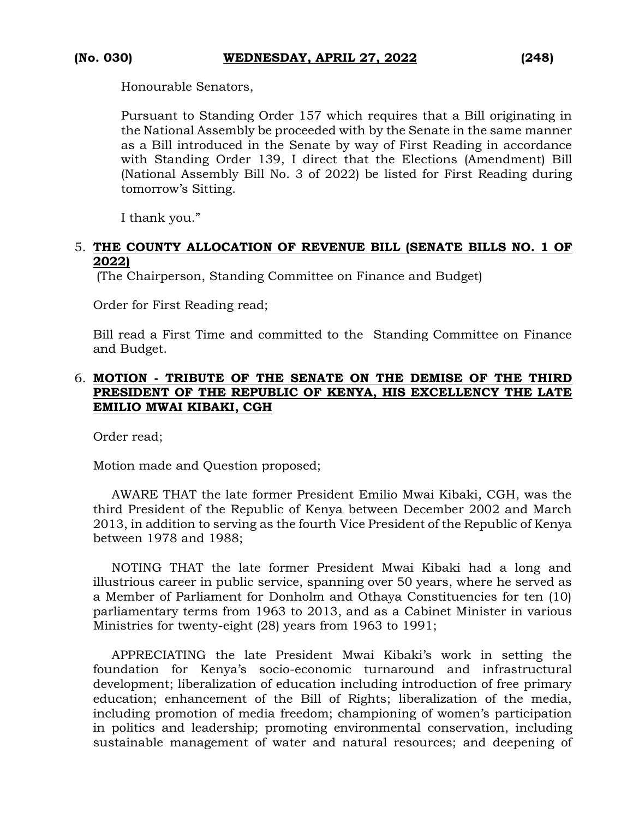Honourable Senators,

Pursuant to Standing Order 157 which requires that a Bill originating in the National Assembly be proceeded with by the Senate in the same manner as a Bill introduced in the Senate by way of First Reading in accordance with Standing Order 139, I direct that the Elections (Amendment) Bill (National Assembly Bill No. 3 of 2022) be listed for First Reading during tomorrow's Sitting.

I thank you."

## 5. **THE COUNTY ALLOCATION OF REVENUE BILL (SENATE BILLS NO. 1 OF 2022)**

(The Chairperson, Standing Committee on Finance and Budget)

Order for First Reading read;

Bill read a First Time and committed to the Standing Committee on Finance and Budget.

## 6. **MOTION - TRIBUTE OF THE SENATE ON THE DEMISE OF THE THIRD PRESIDENT OF THE REPUBLIC OF KENYA, HIS EXCELLENCY THE LATE EMILIO MWAI KIBAKI, CGH**

Order read;

Motion made and Question proposed;

AWARE THAT the late former President Emilio Mwai Kibaki, CGH, was the third President of the Republic of Kenya between December 2002 and March 2013, in addition to serving as the fourth Vice President of the Republic of Kenya between 1978 and 1988;

NOTING THAT the late former President Mwai Kibaki had a long and illustrious career in public service, spanning over 50 years, where he served as a Member of Parliament for Donholm and Othaya Constituencies for ten (10) parliamentary terms from 1963 to 2013, and as a Cabinet Minister in various Ministries for twenty-eight (28) years from 1963 to 1991;

APPRECIATING the late President Mwai Kibaki's work in setting the foundation for Kenya's socio-economic turnaround and infrastructural development; liberalization of education including introduction of free primary education; enhancement of the Bill of Rights; liberalization of the media, including promotion of media freedom; championing of women's participation in politics and leadership; promoting environmental conservation, including sustainable management of water and natural resources; and deepening of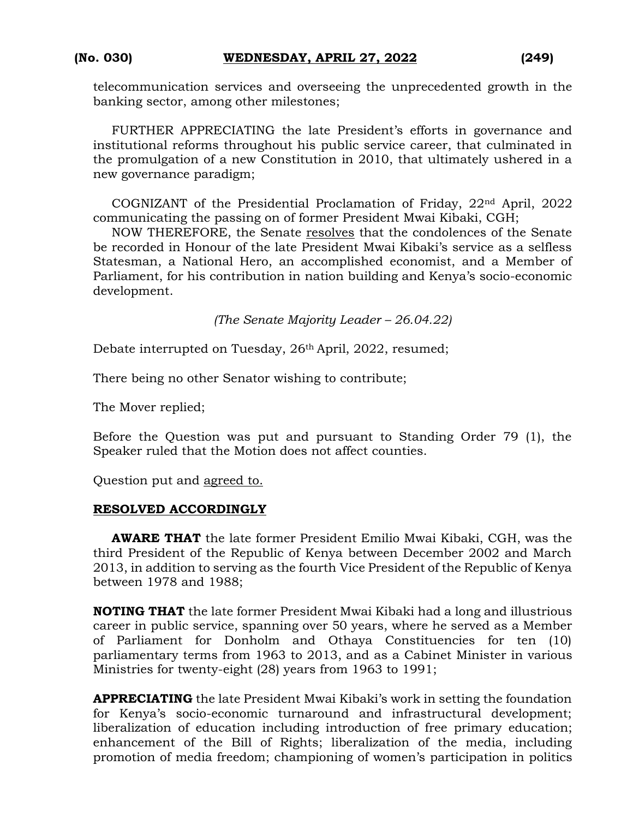telecommunication services and overseeing the unprecedented growth in the banking sector, among other milestones;

FURTHER APPRECIATING the late President's efforts in governance and institutional reforms throughout his public service career, that culminated in the promulgation of a new Constitution in 2010, that ultimately ushered in a new governance paradigm;

COGNIZANT of the Presidential Proclamation of Friday, 22nd April, 2022 communicating the passing on of former President Mwai Kibaki, CGH;

NOW THEREFORE, the Senate resolves that the condolences of the Senate be recorded in Honour of the late President Mwai Kibaki's service as a selfless Statesman, a National Hero, an accomplished economist, and a Member of Parliament, for his contribution in nation building and Kenya's socio-economic development.

*(The Senate Majority Leader – 26.04.22)*

Debate interrupted on Tuesday, 26<sup>th</sup> April, 2022, resumed;

There being no other Senator wishing to contribute;

The Mover replied;

Before the Question was put and pursuant to Standing Order 79 (1), the Speaker ruled that the Motion does not affect counties.

Question put and agreed to.

### **RESOLVED ACCORDINGLY**

**AWARE THAT** the late former President Emilio Mwai Kibaki, CGH, was the third President of the Republic of Kenya between December 2002 and March 2013, in addition to serving as the fourth Vice President of the Republic of Kenya between 1978 and 1988;

**NOTING THAT** the late former President Mwai Kibaki had a long and illustrious career in public service, spanning over 50 years, where he served as a Member of Parliament for Donholm and Othaya Constituencies for ten (10) parliamentary terms from 1963 to 2013, and as a Cabinet Minister in various Ministries for twenty-eight (28) years from 1963 to 1991;

**APPRECIATING** the late President Mwai Kibaki's work in setting the foundation for Kenya's socio-economic turnaround and infrastructural development; liberalization of education including introduction of free primary education; enhancement of the Bill of Rights; liberalization of the media, including promotion of media freedom; championing of women's participation in politics